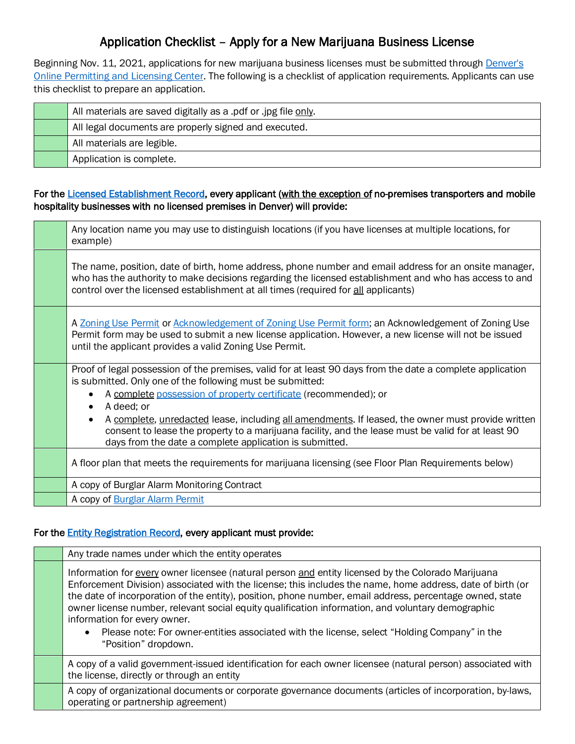# Application Checklist – Apply for a New Marijuana Business License

Beginning Nov. 11, 2021, applications for new marijuana business licenses must be submitted through Denver's [Online Permitting and Licensing Center.](https://denvergov.org/AccelaCitizenAccess/Login.aspx) The following is a checklist of application requirements. Applicants can use this checklist to prepare an application.

| All materials are saved digitally as a .pdf or .jpg file only. |
|----------------------------------------------------------------|
| All legal documents are properly signed and executed.          |
| All materials are legible.                                     |
| Application is complete.                                       |

## For th[e Licensed Establishment Record,](https://www.denvergov.org/Government/Agencies-Departments-Offices/Business-Licensing/Business-Licenses/Licensed-Establishment) every applicant (with the exception of no-premises transporters and mobile hospitality businesses with no licensed premises in Denver) will provide:

| Any location name you may use to distinguish locations (if you have licenses at multiple locations, for<br>example)                                                                                                                                                                                    |
|--------------------------------------------------------------------------------------------------------------------------------------------------------------------------------------------------------------------------------------------------------------------------------------------------------|
| The name, position, date of birth, home address, phone number and email address for an onsite manager,<br>who has the authority to make decisions regarding the licensed establishment and who has access to and<br>control over the licensed establishment at all times (required for all applicants) |
| A Zoning Use Permit or Acknowledgement of Zoning Use Permit form; an Acknowledgement of Zoning Use<br>Permit form may be used to submit a new license application. However, a new license will not be issued<br>until the applicant provides a valid Zoning Use Permit.                                |
| Proof of legal possession of the premises, valid for at least 90 days from the date a complete application<br>is submitted. Only one of the following must be submitted:<br>A complete possession of property certificate (recommended); or                                                            |
| A deed; or<br>A complete, unredacted lease, including all amendments. If leased, the owner must provide written<br>consent to lease the property to a marijuana facility, and the lease must be valid for at least 90<br>days from the date a complete application is submitted.                       |
| A floor plan that meets the requirements for marijuana licensing (see Floor Plan Requirements below)                                                                                                                                                                                                   |
| A copy of Burglar Alarm Monitoring Contract                                                                                                                                                                                                                                                            |
| A copy of Burglar Alarm Permit                                                                                                                                                                                                                                                                         |

## For the **Entity Registration Record**, every applicant must provide:

| Any trade names under which the entity operates                                                                                                                                                                                                                                                                                                                                                                                                                                                                                                                                           |
|-------------------------------------------------------------------------------------------------------------------------------------------------------------------------------------------------------------------------------------------------------------------------------------------------------------------------------------------------------------------------------------------------------------------------------------------------------------------------------------------------------------------------------------------------------------------------------------------|
| Information for every owner licensee (natural person and entity licensed by the Colorado Marijuana<br>Enforcement Division) associated with the license; this includes the name, home address, date of birth (or<br>the date of incorporation of the entity), position, phone number, email address, percentage owned, state<br>owner license number, relevant social equity qualification information, and voluntary demographic<br>information for every owner.<br>Please note: For owner-entities associated with the license, select "Holding Company" in the<br>"Position" dropdown. |
| A copy of a valid government-issued identification for each owner licensee (natural person) associated with<br>the license, directly or through an entity                                                                                                                                                                                                                                                                                                                                                                                                                                 |
| A copy of organizational documents or corporate governance documents (articles of incorporation, by-laws,<br>operating or partnership agreement)                                                                                                                                                                                                                                                                                                                                                                                                                                          |